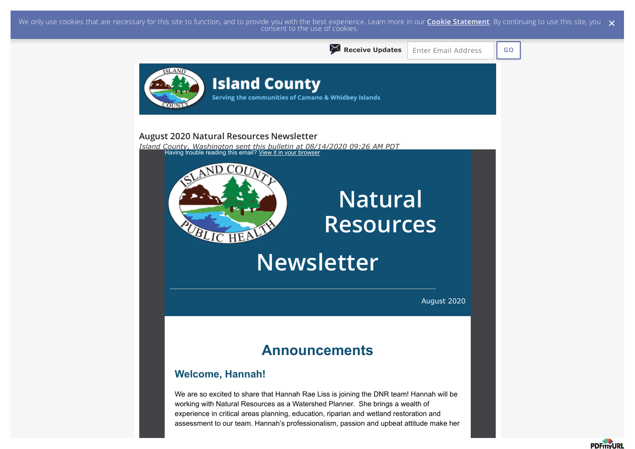We only use cookies that are necessary for this site to function, and to provide you with the best experience. Learn more in our <mark>Cookie Statement</mark>. By continuing to use this site, you  $\,\,\times\,$  consent to the use of cookie



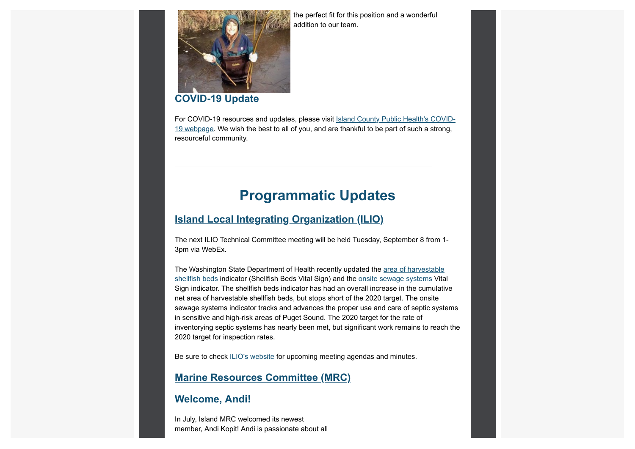the perfect fit for this position and a wonderful addition to our team.



#### **COVID-19 Update**

For COVID-19 resources and updates, please visit Island County Public Health's COVID-19 webpage. We wish the best to all of you, and are thankful to be part of such a strong, resourceful community.

## **Programmatic Updates**

#### **Island Local Integrating Organization (ILIO)**

The next ILIO Technical Committee meeting will be held Tuesday, September 8 from 1- 3pm via WebEx.

The Washington State Department of Health recently updated the area of harvestable shellfish beds indicator (Shellfish Beds Vital Sign) and the onsite sewage systems Vital Sign indicator. The shellfish beds indicator has had an overall increase in the cumulative net area of harvestable shellfish beds, but stops short of the 2020 target. The onsite sewage systems indicator tracks and advances the proper use and care of septic systems in sensitive and high-risk areas of Puget Sound. The 2020 target for the rate of inventorying septic systems has nearly been met, but significant work remains to reach the 2020 target for inspection rates.

Be sure to check ILIO's website for upcoming meeting agendas and minutes.

#### **Marine Resources Committee (MRC)**

#### **Welcome, Andi!**

In July, Island MRC welcomed its newest member, Andi Kopit! Andi is passionate about all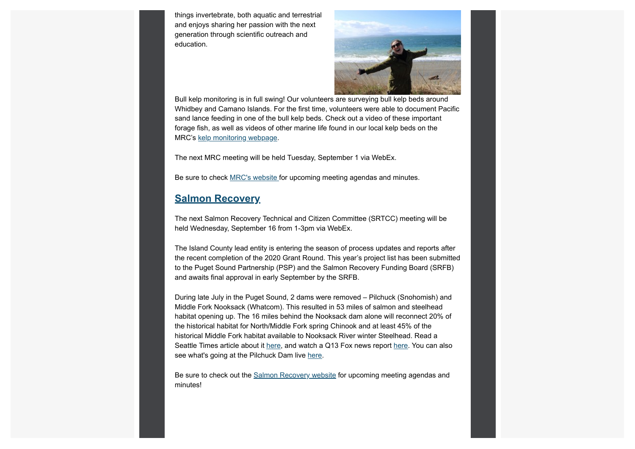things invertebrate, both aquatic and terrestrial and enjoys sharing her passion with the next generation through scientific outreach and education.



Bull kelp monitoring is in full swing! Our volunteers are surveying bull kelp beds around Whidbey and Camano Islands. For the first time, volunteers were able to document Pacific sand lance feeding in one of the bull kelp beds. Check out a video of these important forage fish, as well as videos of other marine life found in our local kelp beds on the MRC's kelp monitoring webpage.

The next MRC meeting will be held Tuesday, September 1 via WebEx.

Be sure to check MRC's website for upcoming meeting agendas and minutes.

#### **Salmon Recovery**

The next Salmon Recovery Technical and Citizen Committee (SRTCC) meeting will be held Wednesday, September 16 from 1-3pm via WebEx.

The Island County lead entity is entering the season of process updates and reports after the recent completion of the 2020 Grant Round. This year's project list has been submitted to the Puget Sound Partnership (PSP) and the Salmon Recovery Funding Board (SRFB) and awaits final approval in early September by the SRFB.

During late July in the Puget Sound, 2 dams were removed – Pilchuck (Snohomish) and Middle Fork Nooksack (Whatcom). This resulted in 53 miles of salmon and steelhead habitat opening up. The 16 miles behind the Nooksack dam alone will reconnect 20% of the historical habitat for North/Middle Fork spring Chinook and at least 45% of the historical Middle Fork habitat available to Nooksack River winter Steelhead. Read a Seattle Times article about it here, and watch a Q13 Fox news report here. You can also see what's going at the Pilchuck Dam live here.

Be sure to check out the Salmon Recovery website for upcoming meeting agendas and minutes!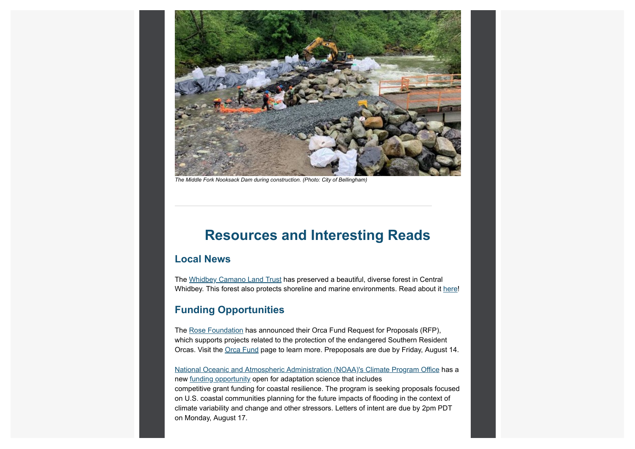

*The Middle Fork Nooksack Dam during construction. (Photo: City of Bellingham)*

### **Resources and Interesting Reads**

#### **Local News**

The Whidbey Camano Land Trust has preserved a beautiful, diverse forest in Central Whidbey. This forest also protects shoreline and marine environments. Read about it here!

#### **Funding Opportunities**

The Rose Foundation has announced their Orca Fund Request for Proposals (RFP), which supports projects related to the protection of the endangered Southern Resident Orcas. Visit the Orca Fund page to learn more. Prepoposals are due by Friday, August 14.

National Oceanic and Atmospheric Administration (NOAA)'s Climate Program Office has a new funding opportunity open for adaptation science that includes competitive grant funding for coastal resilience. The program is seeking proposals focused on U.S. coastal communities planning for the future impacts of flooding in the context of climate variability and change and other stressors. Letters of intent are due by 2pm PDT on Monday, August 17.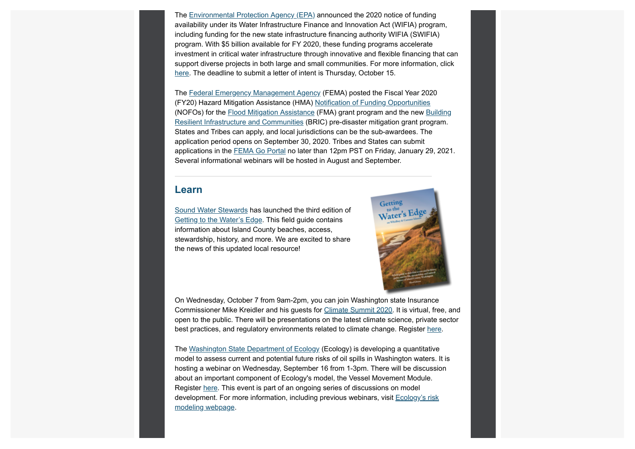The Environmental Protection Agency (EPA) announced the 2020 notice of funding availability under its Water Infrastructure Finance and Innovation Act (WIFIA) program, including funding for the new state infrastructure financing authority WIFIA (SWIFIA) program. With \$5 billion available for FY 2020, these funding programs accelerate investment in critical water infrastructure through innovative and flexible financing that can support diverse projects in both large and small communities. For more information, click here. The deadline to submit a letter of intent is Thursday, October 15.

The Federal Emergency Management Agency (FEMA) posted the Fiscal Year 2020 (FY20) Hazard Mitigation Assistance (HMA) Notification of Funding Opportunities (NOFOs) for the Flood Mitigation Assistance (FMA) grant program and the new Building Resilient Infrastructure and Communities (BRIC) pre-disaster mitigation grant program. States and Tribes can apply, and local jurisdictions can be the sub-awardees. The application period opens on September 30, 2020. Tribes and States can submit applications in the FEMA Go Portal no later than 12pm PST on Friday, January 29, 2021. Several informational webinars will be hosted in August and September.

#### **Learn**

Sound Water Stewards has launched the third edition of Getting to the Water's Edge. This field guide contains information about Island County beaches, access, stewardship, history, and more. We are excited to share the news of this updated local resource!



On Wednesday, October 7 from 9am-2pm, you can join Washington state Insurance Commissioner Mike Kreidler and his guests for Climate Summit 2020. It is virtual, free, and open to the public. There will be presentations on the latest climate science, private sector best practices, and regulatory environments related to climate change. Register here.

The Washington State Department of Ecology (Ecology) is developing a quantitative model to assess current and potential future risks of oil spills in Washington waters. It is hosting a webinar on Wednesday, September 16 from 1-3pm. There will be discussion about an important component of Ecology's model, the Vessel Movement Module. Register here. This event is part of an ongoing series of discussions on model development. For more information, including previous webinars, visit Ecology's risk modeling webpage.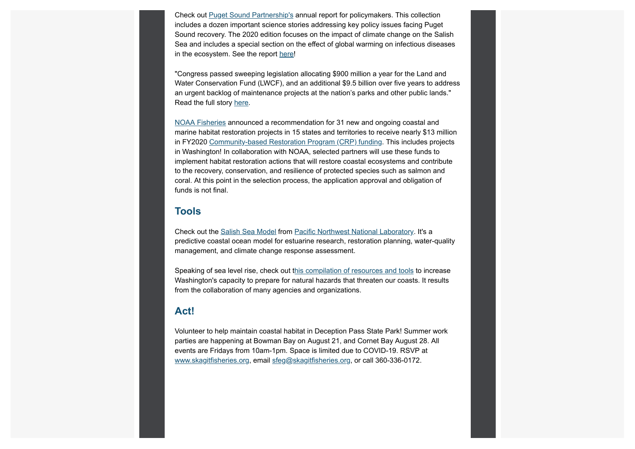Check out Puget Sound Partnership's annual report for policymakers. This collection includes a dozen important science stories addressing key policy issues facing Puget Sound recovery. The 2020 edition focuses on the impact of climate change on the Salish Sea and includes a special section on the effect of global warming on infectious diseases in the ecosystem. See the report here!

"Congress passed sweeping legislation allocating \$900 million a year for the Land and Water Conservation Fund (LWCF), and an additional \$9.5 billion over five years to address an urgent backlog of maintenance projects at the nation's parks and other public lands." Read the full story here.

NOAA Fisheries announced a recommendation for 31 new and ongoing coastal and marine habitat restoration projects in 15 states and territories to receive nearly \$13 million in FY2020 Community-based Restoration Program (CRP) funding. This includes projects in Washington! In collaboration with NOAA, selected partners will use these funds to implement habitat restoration actions that will restore coastal ecosystems and contribute to the recovery, conservation, and resilience of protected species such as salmon and coral. At this point in the selection process, the application approval and obligation of funds is not final.

#### **Tools**

Check out the Salish Sea Model from Pacific Northwest National Laboratory. It's a predictive coastal ocean model for estuarine research, restoration planning, water-quality management, and climate change response assessment.

Speaking of sea level rise, check out this compilation of resources and tools to increase Washington's capacity to prepare for natural hazards that threaten our coasts. It results from the collaboration of many agencies and organizations.

#### **Act!**

Volunteer to help maintain coastal habitat in Deception Pass State Park! Summer work parties are happening at Bowman Bay on August 21, and Cornet Bay August 28. All events are Fridays from 10am-1pm. Space is limited due to COVID-19. RSVP at www.skagitfisheries.org, email sfeg@skagitfisheries.org, or call 360-336-0172.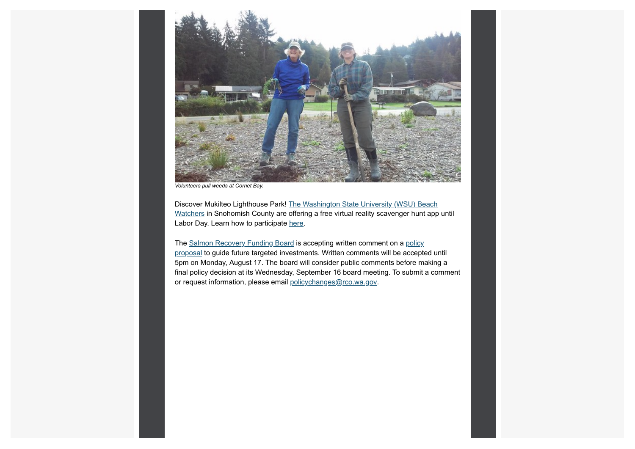

*Volunteers pull weeds at Cornet Bay.*

Discover Mukilteo Lighthouse Park! The Washington State University (WSU) Beach Watchers in Snohomish County are offering a free virtual reality scavenger hunt app until Labor Day. Learn how to participate here.

The Salmon Recovery Funding Board is accepting written comment on a policy proposal to guide future targeted investments. Written comments will be accepted until 5pm on Monday, August 17. The board will consider public comments before making a final policy decision at its Wednesday, September 16 board meeting. To submit a comment or request information, please email policychanges@rco.wa.gov.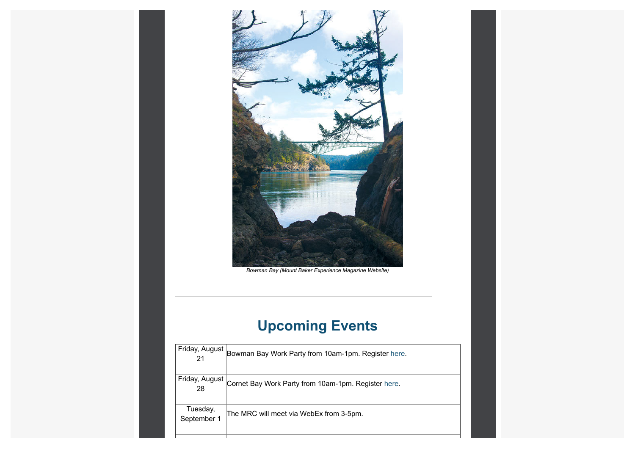

*Bowman Bay (Mount Baker Experience Magazine Website)*

# **Upcoming Events**

| Friday, August          | Bowman Bay Work Party from 10am-1pm. Register here. |
|-------------------------|-----------------------------------------------------|
| Friday, August<br>28    | Cornet Bay Work Party from 10am-1pm. Register here. |
| Tuesday,<br>September 1 | The MRC will meet via WebEx from 3-5pm.             |